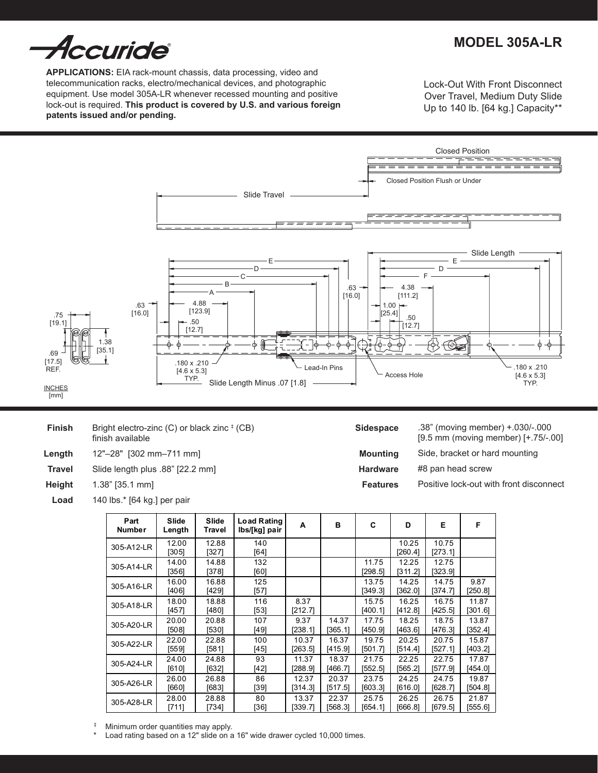

**Applications:** EIA rack-mount chassis, data processing, video and telecommunication racks, electro/mechanical devices, and photographic equipment. Use model 305A-LR whenever recessed mounting and positive lock-out is required. **This product is covered by U.S. and various foreign patents issued and/or pending.**

Lock-Out With Front Disconnect Over Travel, Medium Duty Slide Up to 140 lb. [64 kg.] Capacity\*\*

# **MODEL 305A-LR**



| <b>Finish</b> | Bright electro-zinc (C) or black zinc # (CB)<br>finish available |
|---------------|------------------------------------------------------------------|
| Length        | 12"-28" [302 mm-711 mm]                                          |
| <b>Travel</b> | Slide length plus .88" [22.2 mm]                                 |
| Height        | $1.38$ " [35.1 mm]                                               |

140 lbs.\* [64 kg.] per pair **Load**

|  | Sidespace |  |
|--|-----------|--|

**Mounting Hardware Features**

.38" (moving member) +.030/-.000 [9.5 mm (moving member) [+.75/-.00]

- Side, bracket or hard mounting
- #8 pan head screw
- Positive lock-out with front disconnect

| Part<br>Number | Slide<br>Length | Slide<br>Travel | <b>Load Rating</b><br>lbs/[kg] pair | A               | в       | C                | D                | Е                | F                |
|----------------|-----------------|-----------------|-------------------------------------|-----------------|---------|------------------|------------------|------------------|------------------|
| 305-A12-LR     | 12.00<br>[305]  | 12.88<br>[327]  | 140<br>[64]                         |                 |         |                  | 10.25<br>[260.4] | 10.75<br>[273.1] |                  |
| 305-A14-LR     | 14.00<br>[356]  | 14.88<br>[378]  | 132<br>[60]                         |                 |         | 11.75<br>[298.5] | 12.25<br>[311.2] | 12.75<br>323.9   |                  |
| 305-A16-LR     | 16.00<br>[406]  | 16.88<br>[429]  | 125<br>[57]                         |                 |         | 13.75<br>[349.3] | 14.25<br>[362.0] | 14.75<br>[374.7] | 9.87<br>[250.8]  |
| 305-A18-LR     | 18.00<br>[457]  | 18.88<br>[480]  | 116<br>$[53]$                       | 8.37<br>[212.7] |         | 15.75<br>[400.1] | 16.25<br>[412.8] | 16.75<br>[425.5] | 11.87<br>[301.6] |
| 305-A20-LR     | 20.00           | 20.88           | 107                                 | 9.37            | 14.37   | 17.75            | 18.25            | 18.75            | 13.87            |
|                | [508]           | [530]           | [49]                                | [238.1]         | [365.1] | [450.9]          | [463.6]          | [476.3]          | [352.4]          |
| 305-A22-LR     | 22.00           | 22.88           | 100                                 | 10.37           | 16.37   | 19.75            | 20.25            | 20.75            | 15.87            |
|                | [559]           | [581]           | [45]                                | [263.5]         | [415.9] | [501.7]          | [514.4]          | [527.1]          | [403.2]          |
| 305-A24-LR     | 24.00           | 24.88           | 93                                  | 11.37           | 18.37   | 21.75            | 22.25            | 22.75            | 17.87            |
|                | [610]           | [632]           | [42]                                | [288.9]         | [466.7] | [552.5]          | [565.2]          | [577.9]          | [454.0]          |
| 305-A26-LR     | 26.00           | 26.88           | 86                                  | 12.37           | 20.37   | 23.75            | 24.25            | 24.75            | 19.87            |
|                | [660]           | [683]           | [39]                                | [314.3]         | [517.5] | [603.3]          | [616.0]          | [628.7]          | [504.8]          |
| 305-A28-LR     | 28.00           | 28.88           | 80                                  | 13.37           | 22.37   | 25.75            | 26.25            | 26.75            | 21.87            |
|                | [711]           | [734]           | [36]                                | [339.7]         | [568.3] | [654.1]          | [666.8]          | [679.5]          | [555.6]          |

<sup>‡</sup> Minimum order quantities may apply.

Entertain the contribution of property.